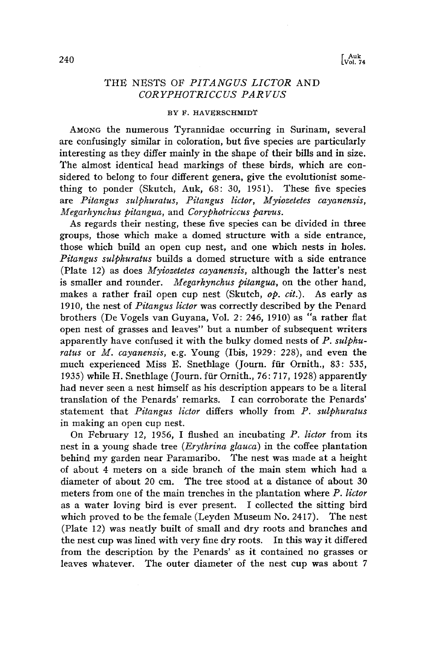## **THE NESTS OF PITANGUS LICTOR AND CORYPHOTRICCUS PARVUS**

## **BY F. HAVERSCHMIDT**

**AMONG the numerous Tyrannidae occurring in Surinam, several are confusingly similar in coloration, but five species are particularly interesting as they differ mainly in the shape of their bills and in size. The almost identical head markings of these birds, which are considered to belong to four different genera, give the evolutionist something to ponder (Skutch, Auk, 68: 30, 1951). These five species are Pitangus sulphuratus, Pitangus lictor, Myiozetetes cayanensis, Meœarhynchus pitangua, and Coryphotriccus parms.** 

**As regards their nesting, these five species can be divided in three groups, those which make a domed structure with a side entrance, those which build an open cup nest, and one which nests in holes. Pitangus sulphuratus builds a domed structure with a side entrance (Plate 12) as does Myiozetetes cayanensis, although the latter's nest is smaller and rounder. Megarhynchus pitangua, on the other hand, makes a rather frail open cup nest (Skutch, op. cit.). As early as 1910, the nest of Pitangus lictor was correctly described by the Penard brothers (De Vogels van Guyana, Vol. 2: 246, 1910) as "a rather flat open nest of grasses and leaves" but a number of subsequent writers apparently have confused it with the bulky domed nests of P. sulphuratus or M. cayanensis, e.g. Young (Ibis, 1929: 228), and even the much experienced Miss E. Snethlage (Journ. ffir Ornith., 83: 535, 1935) while H. Snethlage (Journ. ffir Ornith., 76: 717, 1928) apparently had never seen a nest himself as his description appears to be a literal translation of the Penards' remarks. I can corroborate the Penards' statement that Pitangus lictor differs wholly from P. sulphuratus in making an open cup nest.** 

**On February 12, 1956, I flushed an incubating P. lictor from its nest in a young shade tree (Erythrina glauca) in the coffee plantation behind my garden near Paramaribo. The nest was made at a height of about 4 meters on a side branch of the main stem which had a diameter of about 20 cm. The tree stood at a distance of about 30 meters from one of the main trenches in the plantation where P. lictor as a water loving bird is ever present. I collected the sitting bird**  which proved to be the female (Leyden Museum No. 2417). **(Plate 12) was neatly built of small and dry roots and branches and the nest cup was lined with very fine dry roots. In this way it differed from the description by the Penards' as it contained no grasses or leaves whatever. The outer diameter of the nest cup was about 7**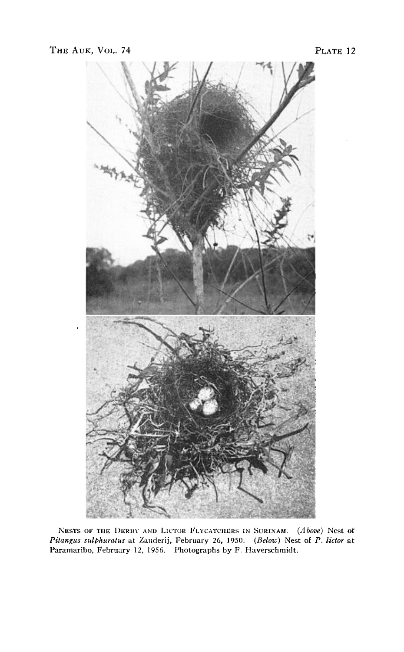

**NESTS OF THE DERBY AND LICTOR FLYCATCHERS IN SURINAM.** (Above) Nest of **Pitangus sulphuratus at Zanderij, February 26, 1950. (Be/ow) Nest of P. lictor at Paramaribo, February 12, 1956. Photographs by F. Hayerschmidt.**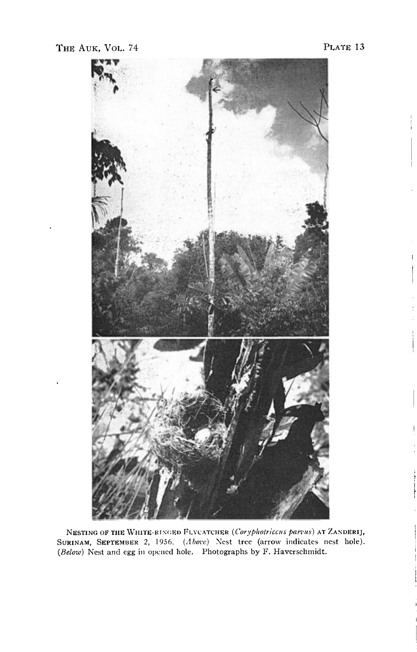

NESTING OF THE WHITE-RINGED FLYCATCHER (Coryphotriccus parvus) AT ZANDERIJ, SURINAM, SEPTEMBER 2, 1956. (Above) Nest tree (arrow indicates nest hole). (Below) Nest and egg in opened hole. Photographs by F. Haverschmidt.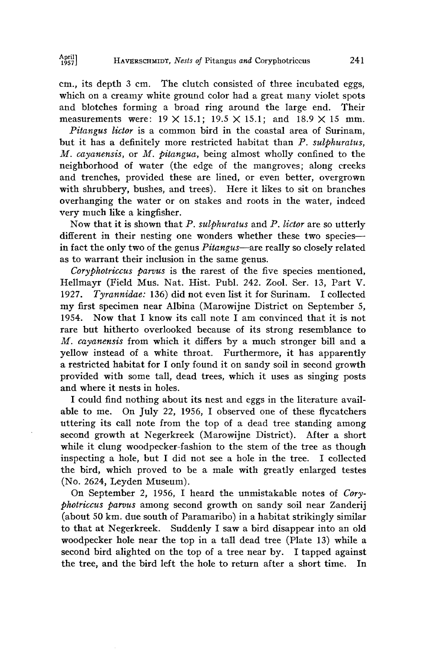**cm., its depth 3 cm. The clutch consisted of three incubated eggs, which on a creamy white ground color had a great many violet spots**  and blotches forming a broad ring around the large end. **measurements were: 19 X 15.1; 19.5 X 15.1; and 18.9 X 15 mm.** 

**Pitangus lictor is a common bird in the coastal area of Surinam, but it has a definitely more restricted habitat than P. sulphuratus, M. cayanensis, or M. pitangua, being almost wholly confined to the neighborhood of water (the edge of the mangroves; along creeks and trenches, provided these are lined, or even better, overgrown with shrubbery, bushes, and trees). Here it likes to sit on branches overhanging the water or on stakes and roots in the water, indeed very much like a kingfisher.** 

**Now that it is shown that P. sulphuratus and P. lictor are so utterly different in their nesting one wonders whether these two species- in fact the only two of the genus Pitangus--are really so closely related as to warrant their inclusion in the same genus.** 

**Coryphotriccus parvus is the rarest of the five species mentioned, Hellmayr (Field Mus. Nat. Hist. Publ. 242. Zool. Set. 13, Part V.**  *Tyrannidae:* **136) did not even list it for Surinam. my first specimen near Albina (Marowijne District on September 5,**  Now that I know its call note I am convinced that it is not **rare but hitherto overlooked because of its strong resemblance to M. cayanensis from which it differs by a much stronger bill and a yellow instead of a white throat. Furthermore, it has apparently a restricted habitat for I only found it on sandy soil in second growth provided with some tall, dead trees, which it uses as singing posts and where it nests in holes.** 

**I could find nothing about its nest and eggs in the literature available to me. On July 22, 1956, I observed one of these flycatchers uttering its call note from the top of a dead tree standing among second growth at Negerkreek (Marowijne District). After a short while it clung woodpecker-fashion to the stem of the tree as though**  inspecting a hole, but I did not see a hole in the tree. **the bird, which proved to be a male with greatly enlarged testes (No. 2624, Leyden Museum).** 

**On September 2, 1956, I heard the unmistakable notes of Coryphotriccus parvus among second growth on sandy soil near Zanderij (about 50 km. due south of Paramaribo) in a habitat strikingly similar to that at Negerkreek. Suddenly I saw a bird disappear into an old woodpecker hole near the top in a tall dead tree (Plate 13) while a second bird alighted on the top of a tree near by. ! tapped against**  the tree, and the bird left the hole to return after a short time.